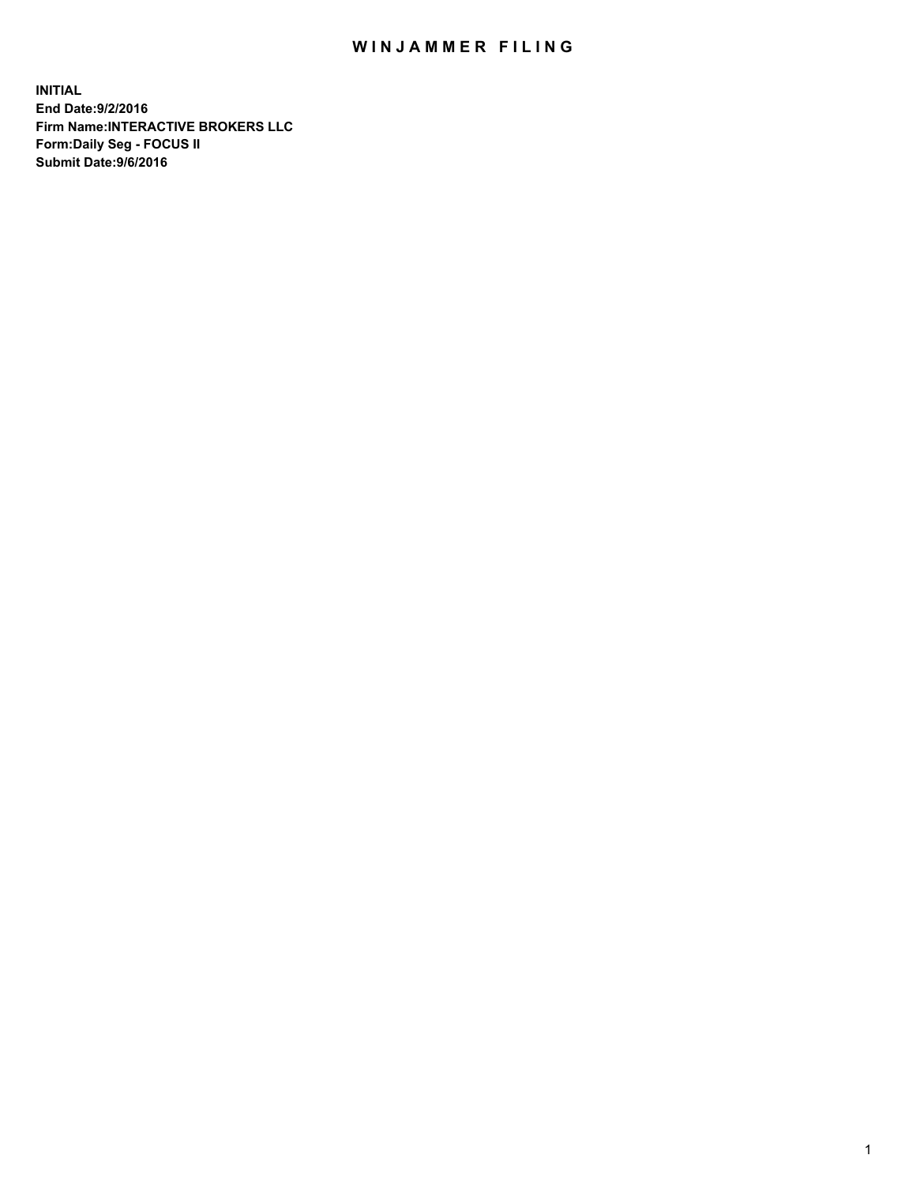## WIN JAMMER FILING

**INITIAL End Date:9/2/2016 Firm Name:INTERACTIVE BROKERS LLC Form:Daily Seg - FOCUS II Submit Date:9/6/2016**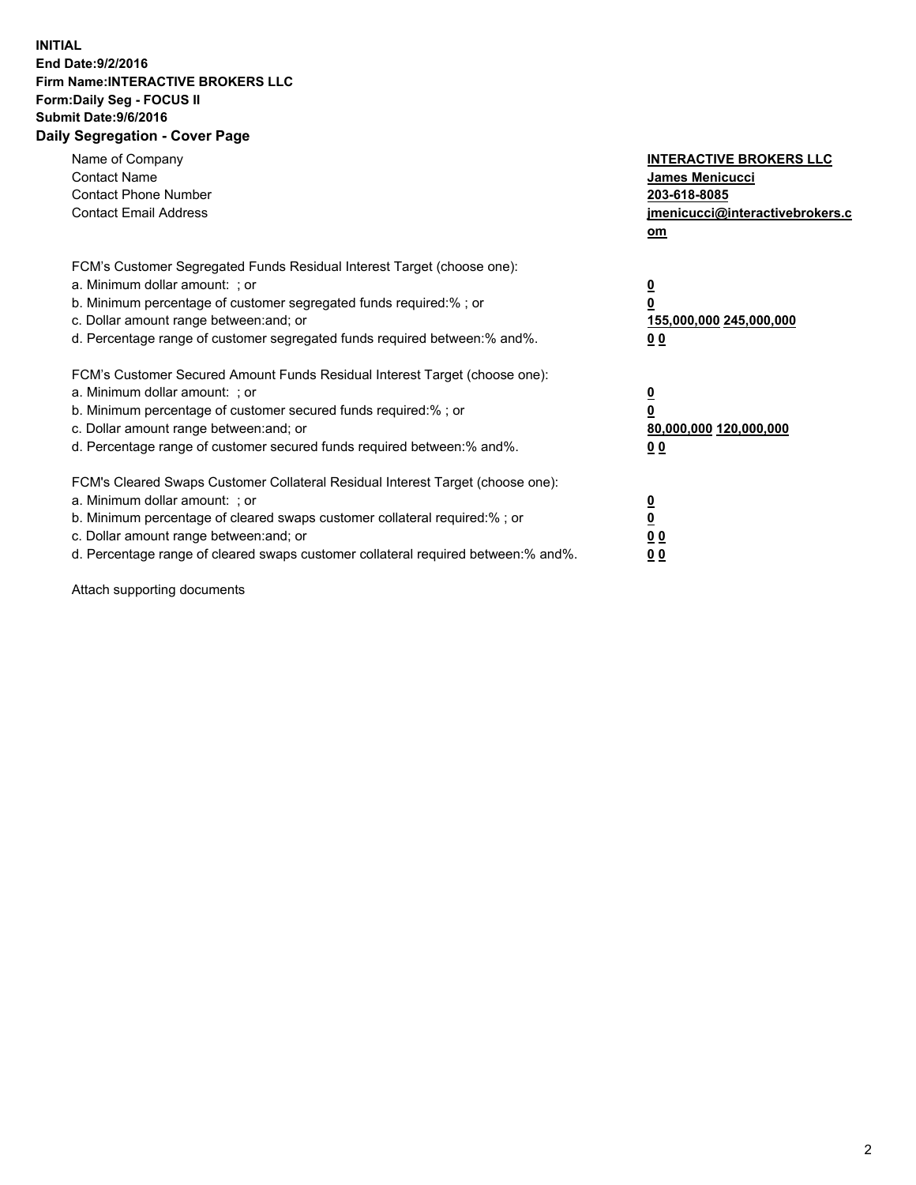## **INITIAL End Date:9/2/2016 Firm Name:INTERACTIVE BROKERS LLC Form:Daily Seg - FOCUS II Submit Date:9/6/2016 Daily Segregation - Cover Page**

| Name of Company<br><b>Contact Name</b><br><b>Contact Phone Number</b><br><b>Contact Email Address</b>                                                                                                                                                                                                                          | <b>INTERACTIVE BROKERS LLC</b><br>James Menicucci<br>203-618-8085<br>jmenicucci@interactivebrokers.c<br>om |
|--------------------------------------------------------------------------------------------------------------------------------------------------------------------------------------------------------------------------------------------------------------------------------------------------------------------------------|------------------------------------------------------------------------------------------------------------|
| FCM's Customer Segregated Funds Residual Interest Target (choose one):<br>a. Minimum dollar amount: ; or<br>b. Minimum percentage of customer segregated funds required:%; or<br>c. Dollar amount range between: and; or<br>d. Percentage range of customer segregated funds required between:% and%.                          | $\overline{\mathbf{0}}$<br>$\overline{\mathbf{0}}$<br>155,000,000 245,000,000<br>00                        |
| FCM's Customer Secured Amount Funds Residual Interest Target (choose one):<br>a. Minimum dollar amount: ; or<br>b. Minimum percentage of customer secured funds required:%; or<br>c. Dollar amount range between: and; or<br>d. Percentage range of customer secured funds required between: % and %.                          | $\overline{\mathbf{0}}$<br>0<br>80,000,000 120,000,000<br>00                                               |
| FCM's Cleared Swaps Customer Collateral Residual Interest Target (choose one):<br>a. Minimum dollar amount: ; or<br>b. Minimum percentage of cleared swaps customer collateral required:% ; or<br>c. Dollar amount range between: and; or<br>d. Percentage range of cleared swaps customer collateral required between:% and%. | $\overline{\mathbf{0}}$<br>$\underline{\mathbf{0}}$<br>0 <sub>0</sub><br>0 <sub>0</sub>                    |

Attach supporting documents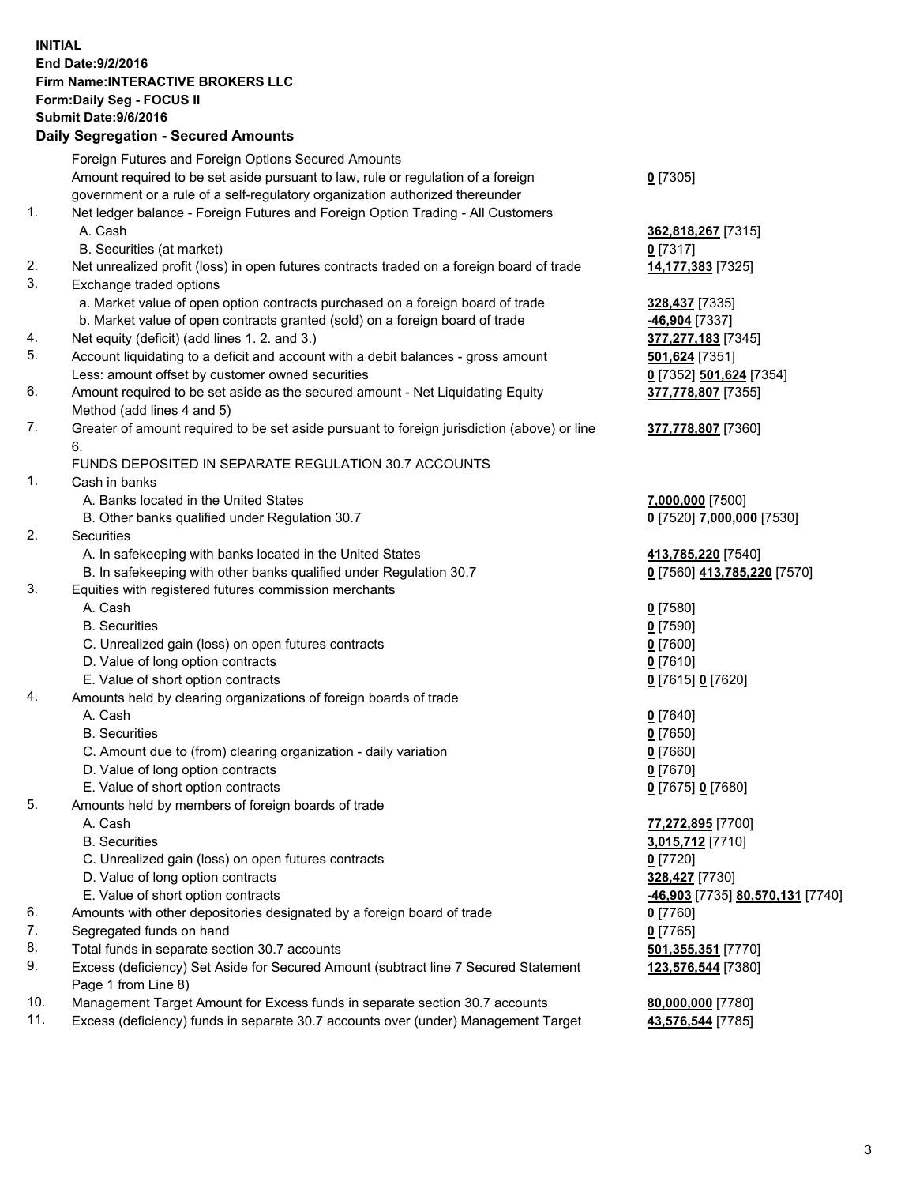## **INITIAL End Date:9/2/2016 Firm Name:INTERACTIVE BROKERS LLC Form:Daily Seg - FOCUS II Submit Date:9/6/2016 Daily Segregation - Secured Amounts**

|          | Foreign Futures and Foreign Options Secured Amounts                                         |                                  |
|----------|---------------------------------------------------------------------------------------------|----------------------------------|
|          | Amount required to be set aside pursuant to law, rule or regulation of a foreign            | $0$ [7305]                       |
|          | government or a rule of a self-regulatory organization authorized thereunder                |                                  |
| 1.       | Net ledger balance - Foreign Futures and Foreign Option Trading - All Customers             |                                  |
|          | A. Cash                                                                                     | 362,818,267 [7315]               |
|          | B. Securities (at market)                                                                   | $0$ [7317]                       |
| 2.       | Net unrealized profit (loss) in open futures contracts traded on a foreign board of trade   | 14,177,383 [7325]                |
| 3.       | Exchange traded options                                                                     |                                  |
|          | a. Market value of open option contracts purchased on a foreign board of trade              | 328,437 [7335]                   |
|          | b. Market value of open contracts granted (sold) on a foreign board of trade                | -46,904 [7337]                   |
| 4.       | Net equity (deficit) (add lines 1.2. and 3.)                                                | 377,277,183 [7345]               |
| 5.       | Account liquidating to a deficit and account with a debit balances - gross amount           | 501,624 [7351]                   |
|          | Less: amount offset by customer owned securities                                            | 0 [7352] 501,624 [7354]          |
| 6.       | Amount required to be set aside as the secured amount - Net Liquidating Equity              | 377,778,807 [7355]               |
|          | Method (add lines 4 and 5)                                                                  |                                  |
| 7.       | Greater of amount required to be set aside pursuant to foreign jurisdiction (above) or line | 377,778,807 [7360]               |
|          | 6.                                                                                          |                                  |
|          | FUNDS DEPOSITED IN SEPARATE REGULATION 30.7 ACCOUNTS                                        |                                  |
| 1.       | Cash in banks                                                                               |                                  |
|          | A. Banks located in the United States                                                       | 7,000,000 [7500]                 |
|          | B. Other banks qualified under Regulation 30.7                                              | 0 [7520] 7,000,000 [7530]        |
| 2.       | Securities                                                                                  |                                  |
|          | A. In safekeeping with banks located in the United States                                   | 413,785,220 [7540]               |
|          | B. In safekeeping with other banks qualified under Regulation 30.7                          | 0 [7560] 413,785,220 [7570]      |
| 3.       | Equities with registered futures commission merchants                                       |                                  |
|          | A. Cash                                                                                     | $0$ [7580]                       |
|          | <b>B.</b> Securities                                                                        | $0$ [7590]                       |
|          | C. Unrealized gain (loss) on open futures contracts                                         | $0$ [7600]                       |
|          | D. Value of long option contracts                                                           | $0$ [7610]                       |
|          | E. Value of short option contracts                                                          | 0 [7615] 0 [7620]                |
| 4.       | Amounts held by clearing organizations of foreign boards of trade                           |                                  |
|          | A. Cash                                                                                     | $0$ [7640]                       |
|          | <b>B.</b> Securities                                                                        | $0$ [7650]                       |
|          | C. Amount due to (from) clearing organization - daily variation                             | $0$ [7660]                       |
|          | D. Value of long option contracts                                                           | $0$ [7670]                       |
|          | E. Value of short option contracts                                                          | 0 [7675] 0 [7680]                |
| 5.       | Amounts held by members of foreign boards of trade                                          |                                  |
|          | A. Cash                                                                                     | 77,272,895 [7700]                |
|          | <b>B.</b> Securities                                                                        | 3,015,712 [7710]                 |
|          | C. Unrealized gain (loss) on open futures contracts                                         | $0$ [7720]                       |
|          | D. Value of long option contracts                                                           | 328,427 [7730]                   |
|          | E. Value of short option contracts                                                          | -46,903 [7735] 80,570,131 [7740] |
| 6.<br>7. | Amounts with other depositories designated by a foreign board of trade                      | $0$ [7760]                       |
| 8.       | Segregated funds on hand<br>Total funds in separate section 30.7 accounts                   | $0$ [7765]                       |
| 9.       | Excess (deficiency) Set Aside for Secured Amount (subtract line 7 Secured Statement         | 501,355,351 [7770]               |
|          | Page 1 from Line 8)                                                                         | 123,576,544 [7380]               |
| 10.      | Management Target Amount for Excess funds in separate section 30.7 accounts                 | 80,000,000 [7780]                |
| 11.      | Excess (deficiency) funds in separate 30.7 accounts over (under) Management Target          | 43,576,544 [7785]                |
|          |                                                                                             |                                  |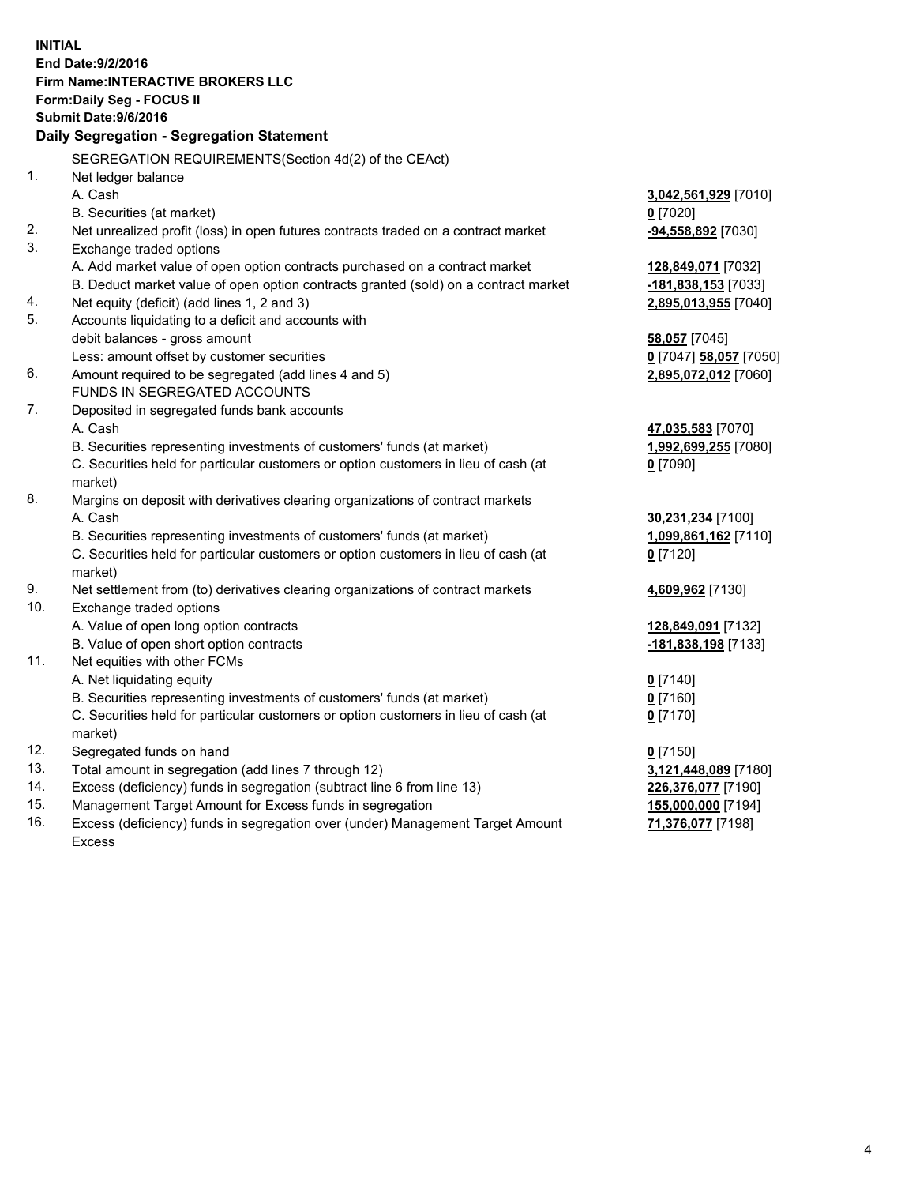**INITIAL End Date:9/2/2016 Firm Name:INTERACTIVE BROKERS LLC Form:Daily Seg - FOCUS II Submit Date:9/6/2016 Daily Segregation - Segregation Statement** SEGREGATION REQUIREMENTS(Section 4d(2) of the CEAct) 1. Net ledger balance A. Cash **3,042,561,929** [7010] B. Securities (at market) **0** [7020] 2. Net unrealized profit (loss) in open futures contracts traded on a contract market **-94,558,892** [7030] 3. Exchange traded options A. Add market value of open option contracts purchased on a contract market **128,849,071** [7032] B. Deduct market value of open option contracts granted (sold) on a contract market **-181,838,153** [7033] 4. Net equity (deficit) (add lines 1, 2 and 3) **2,895,013,955** [7040] 5. Accounts liquidating to a deficit and accounts with debit balances - gross amount **58,057** [7045] Less: amount offset by customer securities **0** [7047] **58,057** [7050] 6. Amount required to be segregated (add lines 4 and 5) **2,895,072,012** [7060] FUNDS IN SEGREGATED ACCOUNTS 7. Deposited in segregated funds bank accounts A. Cash **47,035,583** [7070] B. Securities representing investments of customers' funds (at market) **1,992,699,255** [7080] C. Securities held for particular customers or option customers in lieu of cash (at market) **0** [7090] 8. Margins on deposit with derivatives clearing organizations of contract markets A. Cash **30,231,234** [7100] B. Securities representing investments of customers' funds (at market) **1,099,861,162** [7110] C. Securities held for particular customers or option customers in lieu of cash (at market) **0** [7120] 9. Net settlement from (to) derivatives clearing organizations of contract markets **4,609,962** [7130] 10. Exchange traded options A. Value of open long option contracts **128,849,091** [7132] B. Value of open short option contracts **-181,838,198** [7133] 11. Net equities with other FCMs A. Net liquidating equity **0** [7140] B. Securities representing investments of customers' funds (at market) **0** [7160] C. Securities held for particular customers or option customers in lieu of cash (at market) **0** [7170] 12. Segregated funds on hand **0** [7150] 13. Total amount in segregation (add lines 7 through 12) **3,121,448,089** [7180] 14. Excess (deficiency) funds in segregation (subtract line 6 from line 13) **226,376,077** [7190] 15. Management Target Amount for Excess funds in segregation **155,000,000** [7194] 16. Excess (deficiency) funds in segregation over (under) Management Target Amount **71,376,077** [7198]

Excess